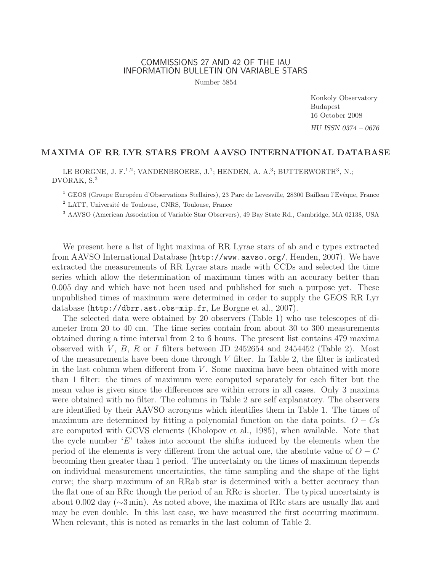## COMMISSIONS 27 AND 42 OF THE IAU INFORMATION BULLETIN ON VARIABLE STARS

Number 5854

Konkoly Observatory Budapest 16 October 2008 HU ISSN 0374 – 0676

## MAXIMA OF RR LYR STARS FROM AAVSO INTERNATIONAL DATABASE

LE BORGNE, J. F.<sup>1,2</sup>; VANDENBROERE, J.<sup>1</sup>; HENDEN, A. A.<sup>3</sup>; BUTTERWORTH<sup>3</sup>, N.; DVORAK, S.<sup>3</sup>

<sup>1</sup> GEOS (Groupe Européen d'Observations Stellaires), 23 Parc de Levesville, 28300 Bailleau l'Evêque, France

<sup>2</sup> LATT, Université de Toulouse, CNRS, Toulouse, France

<sup>3</sup> AAVSO (American Association of Variable Star Observers), 49 Bay State Rd., Cambridge, MA 02138, USA

We present here a list of light maxima of RR Lyrae stars of ab and c types extracted from AAVSO International Database (http://www.aavso.org/, Henden, 2007). We have extracted the measurements of RR Lyrae stars made with CCDs and selected the time series which allow the determination of maximum times with an accuracy better than 0.005 day and which have not been used and published for such a purpose yet. These unpublished times of maximum were determined in order to supply the GEOS RR Lyr database (http://dbrr.ast.obs-mip.fr, Le Borgne et al., 2007).

The selected data were obtained by 20 observers (Table 1) who use telescopes of diameter from 20 to 40 cm. The time series contain from about 30 to 300 measurements obtained during a time interval from 2 to 6 hours. The present list contains 479 maxima observed with  $V, B, R$  or I filters between JD 2452654 and 2454452 (Table 2). Most of the measurements have been done through  $V$  filter. In Table 2, the filter is indicated in the last column when different from  $V$ . Some maxima have been obtained with more than 1 filter: the times of maximum were computed separately for each filter but the mean value is given since the differences are within errors in all cases. Only 3 maxima were obtained with no filter. The columns in Table 2 are self explanatory. The observers are identified by their AAVSO acronyms which identifies them in Table 1. The times of maximum are determined by fitting a polynomial function on the data points.  $O - Cs$ are computed with GCVS elements (Kholopov et al., 1985), when available. Note that the cycle number  $E'$  takes into account the shifts induced by the elements when the period of the elements is very different from the actual one, the absolute value of  $O - C$ becoming then greater than 1 period. The uncertainty on the times of maximum depends on individual measurement uncertainties, the time sampling and the shape of the light curve; the sharp maximum of an RRab star is determined with a better accuracy than the flat one of an RRc though the period of an RRc is shorter. The typical uncertainty is about 0.002 day (∼3 min). As noted above, the maxima of RRc stars are usually flat and may be even double. In this last case, we have measured the first occurring maximum. When relevant, this is noted as remarks in the last column of Table 2.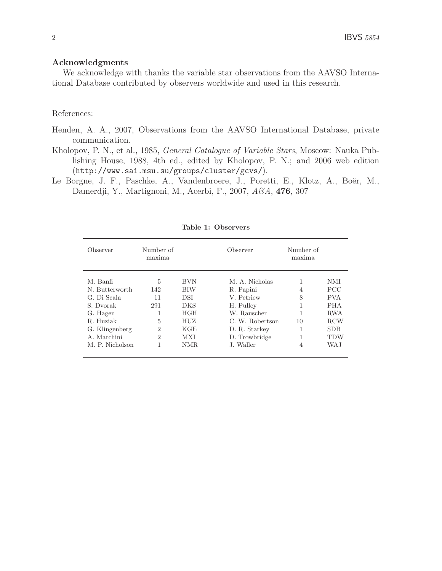## Acknowledgments

We acknowledge with thanks the variable star observations from the AAVSO International Database contributed by observers worldwide and used in this research.

## References:

- Henden, A. A., 2007, Observations from the AAVSO International Database, private communication.
- Kholopov, P. N., et al., 1985, General Catalogue of Variable Stars, Moscow: Nauka Publishing House, 1988, 4th ed., edited by Kholopov, P. N.; and 2006 web edition (http://www.sai.msu.su/groups/cluster/gcvs/).
- Le Borgne, J. F., Paschke, A., Vandenbroere, J., Poretti, E., Klotz, A., Boër, M., Damerdji, Y., Martignoni, M., Acerbi, F., 2007, A&A, 4**76**, 307

| Observer        | Number of<br>Observer<br>maxima |            |                 |    |            |  |
|-----------------|---------------------------------|------------|-----------------|----|------------|--|
| M. Banfi        | $\frac{5}{2}$                   | <b>BVN</b> | M. A. Nicholas  | 1  | <b>NMI</b> |  |
| N. Butterworth  | 142                             | BIW        | R. Papini       | 4  | <b>PCC</b> |  |
| G. Di Scala     | 11                              | <b>DSI</b> | V. Petriew      | 8  | <b>PVA</b> |  |
| S. Dvorak       | 291                             | <b>DKS</b> | H. Pulley       |    | <b>PHA</b> |  |
| G. Hagen        | 1                               | <b>HGH</b> | W. Rauscher     |    | <b>RWA</b> |  |
| R. Huziak       | 5                               | HUZ        | C. W. Robertson | 10 | RCW        |  |
| G. Klingenberg  | $\mathcal{D}$                   | KGE        | D. R. Starkey   | 1  | <b>SDB</b> |  |
| A. Marchini     | $\mathcal{D}$                   | <b>MXI</b> | D. Trowbridge   | 1  | <b>TDW</b> |  |
| M. P. Nicholson | 1                               | NMR.       | J. Waller       | 4  | WA.J       |  |

Table 1: Observers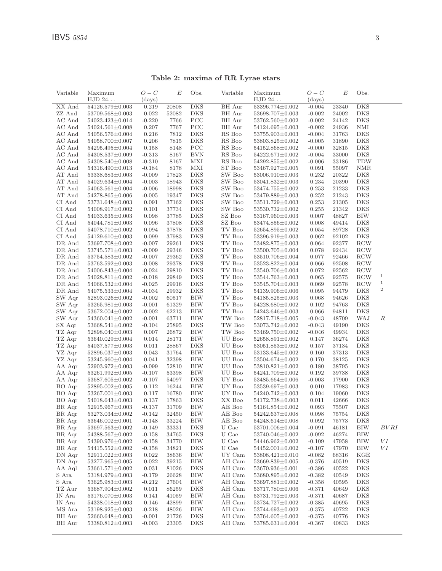| Variable         | Maximum               | $O-C$    | E         | Obs.                      | Variable                | Maximum               | $O-C$    | E         | Obs.              |                  |
|------------------|-----------------------|----------|-----------|---------------------------|-------------------------|-----------------------|----------|-----------|-------------------|------------------|
|                  | HJD 24                | (days)   |           |                           |                         | HJD 24                | (days)   |           |                   |                  |
| XX And           | 54126.579±0.003       | 0.219    | 20808     | $\overline{\mathrm{DKS}}$ | <b>BH</b> Aur           | 53396.774±0.002       | $-0.004$ | 23340     | <b>DKS</b>        |                  |
| ZZ And           | 53709.568±0.003       | 0.022    | 52082     | DKS                       | BH Aur                  | 53698.707±0.003       | $-0.002$ | 24002     | DKS               |                  |
| AC And           | 54023.423±0.014       | $-0.220$ | 7766      | PCC                       | BH Aur                  | 53762.560±0.002       | $-0.002$ | 24142     | <b>DKS</b>        |                  |
| AC And           | $54024.561 \pm 0.008$ | 0.207    | 7767      | PCC                       | BH Aur                  | 54124.695±0.003       | $-0.002$ | 24936     | NMI               |                  |
| AC And           | 54056.576±0.004       | 0.216    | 7812      | DKS                       | RS Boo                  | 53755.903±0.003       | $-0.004$ | 31763     | DKS               |                  |
| AC And           | 54058.700 $\pm$ 0.007 | 0.206    | 7815      | <b>DKS</b>                | RS Boo                  | 53803.825±0.002       | $-0.005$ | 31890     | DKS               |                  |
| AC And           | 54295.495±0.004       | 0.158    | 8148      | PCC                       | RS Boo                  | 54152.868±0.002       | $-0.000$ | 32815     | DKS               |                  |
| AC And           | 54308.537±0.009       | $-0.313$ | 8167      | <b>BVN</b>                | RS Boo                  | 54222.671±0.002       | $-0.004$ | 33000     | DKS               |                  |
| AC And           | $54308.540 \pm 0.008$ | $-0.310$ | 8167      | МXI                       | RS Boo                  | 54292.855±0.002       | $-0.006$ | 33186     | TDW               |                  |
| AC And           | 54316.490 $\pm$ 0.013 | $-0.184$ | 8178      | MXI                       | ST Boo                  | 53467.927±0.005       | 0.091    | 55097     | NMR               |                  |
| AT And           | 53338.683±0.003       | $-0.009$ | 17823     | <b>DKS</b>                | SW Boo                  | 53006.910±0.003       | 0.232    | 20322     | DKS               |                  |
| AT And           | 54029.634±0.004       | $-0.003$ | 18943     | DKS                       | SW Boo                  | 53041.832±0.003       | 0.234    | 20390     | DKS               |                  |
| AT And           | 54063.561±0.004       | $-0.006$ | 18998     | <b>DKS</b>                | SW Boo                  | 53474.755±0.002       | 0.253    | 21233     | DKS               |                  |
| AT And           | $54278.865 \pm 0.006$ | $-0.005$ | 19347     | DKS                       | SW Boo                  | 53479.889±0.003       | 0.252    | 21243     | DKS               |                  |
| CI And           | $53731.648 \pm 0.003$ | 0.091    | 37162     | DKS                       | SW Boo                  | 53511.729±0.003       | 0.253    | 21305     | DKS               |                  |
| CI And           | 54008.917±0.002       | 0.101    | 37734     | <b>DKS</b>                | SW Boo                  | 53530.732±0.002       | 0.255    | 21342     | DKS               |                  |
| CI And           | $54033.635 \pm 0.003$ | 0.098    | 37785     | DKS                       | SZ Boo                  | $53167.960 \pm 0.003$ | 0.007    | 48827     | BIW               |                  |
| CI And           | $54044.781 \pm 0.003$ | 0.096    | 37808     | DKS                       | SZ Boo                  | 53474.856±0.002       | 0.008    | 49414     | DKS               |                  |
| CI And           | 54078.710±0.002       | 0.094    | 37878     | DKS                       | TV Boo                  | 52654.895±0.002       | 0.054    | 89728     | DKS               |                  |
| CI And           | 54129.610±0.003       | 0.099    | 37983     | <b>DKS</b>                | $\operatorname{TV}$ Boo | 53396.919±0.003       | 0.062    | 92102     | DKS               |                  |
|                  |                       |          |           |                           |                         |                       |          |           |                   |                  |
| DR And           | 53697.708±0.002       | $-0.007$ | 29261     | DKS                       | TV Boo                  | 53482.875±0.003       | 0.064    | 92377     | <b>RCW</b>        |                  |
| DR And           | 53745.571±0.003       | $-0.009$ | 29346     | DKS                       | TV Boo                  | 53500.705±0.004       | 0.078    | 92434     | <b>RCW</b>        |                  |
| DR And           | $53754.583\pm0.002$   | $-0.007$ | 29362     | DKS                       | TV Boo                  | 53510.706±0.004       | 0.077    | 92466     | <b>RCW</b>        |                  |
| DR And           | 53763.592±0.003       | $-0.008$ | 29378     | DKS                       | TV Boo                  | 53523.822±0.004       | 0.066    | 92508     | <b>RCW</b>        |                  |
| DR And           | $54006.843\pm0.004$   | $-0.024$ | 29810     | DKS                       | TV Boo                  | 53540.706±0.004       | 0.072    | 92562     | <b>RCW</b>        |                  |
| DR And           | $54028.811 \pm 0.002$ | $-0.018$ | 29849     | DKS                       | TV Boo                  | 53544.763±0.003       | 0.065    | 92575     | <b>RCW</b>        | $\,1$            |
| DR And           | 54066.532±0.004       | $-0.025$ | 29916     | DKS                       | $\operatorname{TV}$ Boo | 53545.704±0.003       | 0.069    | 92578     | <b>RCW</b>        | $\,1\,$<br>$\,2$ |
| DR And           | 54075.533±0.004       | $-0.034$ | 29932     | <b>DKS</b>                | TV Boo                  | 54139.906±0.006       | 0.095    | 94479     | DKS               |                  |
| SW Aqr           | $52893.026 \pm 0.002$ | $-0.002$ | 60517     | BIW                       | TV Boo                  | 54185.825±0.003       | 0.068    | 94626     | DKS               |                  |
| SW Aqr           | $53265.981 \pm 0.003$ | $-0.001$ | 61329     | BIW                       | TV Boo                  | 54228.680±0.002       | 0.102    | 94763     | DKS               |                  |
| SW Aqr           | 53672.004±0.002       | $-0.002$ | 62213     | BIW                       | TV Boo                  | 54243.646±0.003       | 0.066    | 94811     | DKS               |                  |
| SW Aqr           | 54360.041±0.002       | $-0.001$ | 63711     | BIW                       | $\operatorname{TW}$ Boo | 52817.718±0.005       | $-0.043$ | 48709     | WAJ               | R                |
| SX Aqr           | $53668.541 \pm 0.002$ | $-0.104$ | 25895     | DKS                       | TW Boo                  | 53073.742±0.002       | $-0.043$ | 49190     | DKS               |                  |
| TZ Aqr           | $52898.040 \pm 0.003$ | 0.007    | 26872     | BIW                       | TW Boo                  | $53469.750 \pm 0.002$ | $-0.046$ | 49934     | DKS               |                  |
| TZ Aqr           | 53640.029±0.004       | 0.014    | 28171     | BIW                       | UU Boo                  | 52658.891±0.002       | 0.147    | 36274     | DKS               |                  |
| TZ Aqr           | $54037.577 \pm 0.003$ | 0.011    | 28867     | DKS                       | UU Boo                  | 53051.853±0.002       | 0.157    | 37134     | DKS               |                  |
| YZ Aqr           | 52896.037±0.003       | 0.043    | 31764     | BIW                       | UU Boo                  | 53133.645±0.002       | 0.160    | 37313     | DKS               |                  |
| YZ Aqr           | 53245.960±0.004       | 0.041    | 32398     | BIW                       | UU Boo                  | 53504.674±0.002       | 0.170    | 38125     | DKS               |                  |
| AA Aqr           | 52903.972±0.003       | $-0.099$ | 52810     | <b>BIW</b>                | UU Boo                  | 53810.821±0.002       | 0.180    | 38795     | DKS               |                  |
| AA Aqr           | 53261.992±0.005       | $-0.107$ | 53398     | BIW                       | UU Boo                  | 54241.709±0.002       | 0.192    | 39738     | DKS               |                  |
| AA Aqr           | $53687.605 \pm 0.002$ | $-0.107$ | 54097     | DKS                       | UY Boo                  | 53485.664±0.006       | $-0.003$ | 17900     | DKS               |                  |
| BO Aqr           | $52895.002 \pm 0.005$ | 0.112    | 16244     | BIW                       | UY Boo                  | 53539.697±0.003       | 0.010    | 17983     | DKS               |                  |
| BO Aqr           | 53267.001±0.003       | 0.117    | 16780     | BIW                       | UY Boo                  | 54240.742±0.003       | 0.104    | 19060     | DKS               |                  |
| BO Aqr           | 54018.643±0.003       | 0.137    | 17863     | <b>DKS</b>                | XX Boo                  | 54172.738±0.003       | 0.011    | 42666     | <b>DKS</b>        |                  |
| BR Aqr           | 52915.967±0.003       | $-0.137$ | 31709     | <b>BIW</b>                | AE Boo                  | 54164.854±0.002       | 0.093    | 75507     | DKS               |                  |
| BR Aqr           | $53273.034{\pm}0.002$ | $-0.142$ | $32450\,$ | $\rm BIW$                 | $\mathrm{AE}$ Boo       | $54242.637{\pm}0.008$ | 0.098    | $75754\,$ | DKS               |                  |
| $BR$ Aqr         | 53646.002±0.001       | $-0.148$ | 33224     | BIW                       | AE Boo                  | 54248.614±0.008       | 0.092    | 75773     | DKS               |                  |
| BR Aqr           | 53697.563±0.002       | $-0.149$ | 33331     | DKS                       | U Cae                   | 53701.006±0.004       | $-0.091$ | 46181     | <b>BIW</b>        | BVRI             |
| BR Aqr           | 54388.567±0.002       | $-0.158$ | 34765     | DKS                       | U Cae                   | 53740.046±0.002       | $-0.092$ | 46274     | BIW               |                  |
| BR Aqr           | 54390.976±0.002       | $-0.158$ | 34770     | BIW                       | U Cae                   | 54446.962±0.002       | $-0.109$ | 47958     | BIW               | VI               |
| BR Aqr           | 54415.552±0.002       | $-0.158$ | 34821     | DKS                       | U Cae                   | 54452.001±0.002       | $-0.107$ | 47970     | BIW               | VI               |
| DN Aqr           | 52911.022±0.003       | 0.022    | 38636     | BIW                       | UY Cam                  | 53808.421±0.010       | $-0.082$ | 68316     | KGE               |                  |
| DN Aqr           | 53277.965±0.005       | 0.022    | 39215     | BIW                       | AH Cam                  | 53669.839±0.005       | $-0.376$ | 40519     | DKS               |                  |
| AA Aql           | 53661.571±0.002       | 0.031    | 81026     | DKS                       | AH Cam                  | 53670.936±0.001       | $-0.386$ | 40522     | DKS               |                  |
| S Ara            | 53184.979±0.003       | $-0.179$ | 26628     | BIW                       | AH Cam                  | 53680.895±0.002       | $-0.382$ | 40549     | DKS               |                  |
| S Ara            | 53625.983±0.003       | $-0.212$ | 27604     | BIW                       | AH Cam                  | 53697.881±0.002       | $-0.358$ | 40595     | DKS               |                  |
|                  |                       |          |           |                           | AH Cam                  |                       |          |           |                   |                  |
| TZ Aur           | 53687.904±0.002       | 0.011    | 86259     | DKS                       | AH Cam                  | 53717.780±0.006       | $-0.371$ | 40649     | DKS<br><b>DKS</b> |                  |
| IN Ara<br>IN Ara | 53176.070±0.003       | 0.141    | 41059     | BIW                       | AH Cam                  | 53731.792±0.003       | $-0.371$ | 40687     |                   |                  |
|                  | 54338.018±0.003       | 0.146    | 42899     | BIW                       |                         | 53734.727±0.002       | $-0.385$ | 40695     | DKS               |                  |
| MS Ara           | 53198.925±0.003       | $-0.218$ | 48026     | BIW                       | AH Cam                  | 53744.693±0.002       | $-0.375$ | 40722     | <b>DKS</b>        |                  |
| BH Aur           | $52660.648 \pm 0.003$ | $-0.001$ | 21726     | DKS                       | AH Cam                  | 53764.605±0.002       | $-0.375$ | 40776     | DKS               |                  |
| BH Aur           | 53380.812±0.003       | $-0.003$ | 23305     | DKS                       | AH Cam                  | 53785.631±0.004       | $-0.367$ | 40833     | DKS               |                  |
|                  |                       |          |           |                           |                         |                       |          |           |                   |                  |

Table 2: maxima of RR Lyrae stars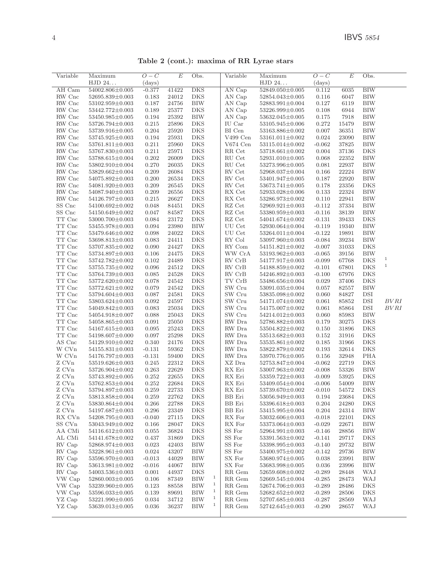Table 2 (cont.): maxima of RR Lyrae stars

| Variable                | Maximum               | $O-C$     | $\overline{E}$ | Obs.                       | Variable                              | Maximum               | $O-C$        | $\overline{E}$ | Obs.       |              |
|-------------------------|-----------------------|-----------|----------------|----------------------------|---------------------------------------|-----------------------|--------------|----------------|------------|--------------|
|                         | HJD 24                | (days)    |                |                            |                                       | HJD 24                | $\rm (days)$ |                |            |              |
| AH Cam                  | 54002.806±0.005       | $-0.377$  | 41422          | <b>DKS</b>                 | AN Cap                                | $52849.050 \pm 0.005$ | 0.112        | 6035           | <b>BIW</b> |              |
| RW Cnc                  | 52695.839±0.003       | 0.183     | 24012          | <b>DKS</b>                 | AN Cap                                | 52854.043±0.005       | 0.116        | 6047           | <b>BIW</b> |              |
| RW Cnc                  | 53102.959±0.003       | 0.187     | 24756          | <b>BIW</b>                 | AN Cap                                | 52883.991±0.004       | 0.127        | 6119           | <b>BIW</b> |              |
| RW Cnc                  | 53442.772±0.003       | 0.189     | 25377          | <b>DKS</b>                 | AN Cap                                | 53226.999±0.005       | 0.108        | 6944           | <b>BIW</b> |              |
| RW Cnc                  | 53450.985±0.005       | 0.194     | 25392          | <b>BIW</b>                 | AN Cap                                | 53632.045±0.005       | 0.175        | 7918           | <b>BIW</b> |              |
| RW Cnc                  | 53726.794±0.003       | 0.215     | 25896          | <b>DKS</b>                 | IU Car                                | $53105.945 \pm 0.006$ | 0.272        | 15479          | <b>BIW</b> |              |
| RW Cnc                  | 53739.916±0.005       | 0.204     | 25920          | DKS                        | $\rm BI$ Cen                          | 53163.886±0.002       | 0.007        | 36351          | BIW        |              |
| RW Cnc                  | 53745.925±0.003       | 0.194     | $25931\,$      | DKS                        | $V499$ Cen                            | $53161.011\pm0.002$   | 0.024        | 23090          | <b>BIW</b> |              |
|                         |                       |           | 25960          | <b>DKS</b>                 | $V674$ Cen                            | 53115.014±0.002       |              | 37825          |            |              |
| RW Cnc                  | 53761.811±0.003       | 0.211     |                |                            |                                       |                       | $-0.062$     |                | <b>BIW</b> |              |
| RW Cnc                  | 53767.830±0.003       | 0.211     | 25971          | <b>DKS</b>                 | $\ensuremath{\mathsf{RR}}\xspace$ Cet | 53718.661±0.002       | 0.004        | 37136          | <b>DKS</b> |              |
| RW Cnc                  | 53788.615±0.004       | 0.202     | 26009          | <b>DKS</b>                 | RU Cet                                | 52931.010±0.005       | 0.068        | 22352          | <b>BIW</b> |              |
| RW Cnc                  | $53802.910 \pm 0.004$ | 0.270     | 26035          | <b>DKS</b>                 | RU Cet                                | 53273.996±0.005       | 0.081        | 22937          | <b>BIW</b> |              |
| RW Cnc                  | $53829.662 \pm 0.004$ | 0.209     | 26084          | DKS                        | RV Cet                                | 52968.037±0.004       | 0.166        | 22224          | BIW        |              |
| RW Cnc                  | 54075.892±0.003       | 0.200     | 26534          | <b>DKS</b>                 | RV Cet                                | 53401.947±0.005       | 0.187        | 22920          | <b>BIW</b> |              |
| RW Cnc                  | 54081.920±0.003       | 0.209     | 26545          | DKS                        | RV Cet                                | 53673.741±0.005       | 0.178        | 23356          | <b>DKS</b> |              |
| RW Cnc                  | 54087.940±0.003       | 0.209     | 26556          | <b>DKS</b>                 | RX Cet                                | 52933.028±0.006       | 0.133        | 22324          | <b>BIW</b> |              |
| RW Cnc                  | 54126.797±0.003       | 0.215     | 26627          | DKS                        | RX Cet                                | 53286.973±0.002       | 0.110        | 22941          | <b>BIW</b> |              |
| SS Cnc                  | 54100.692±0.002       | 0.048     | 84451          | DKS                        | RZ Cet                                | 52969.921±0.003       | $-0.112$     | 37334          | <b>BIW</b> |              |
| SS Cnc                  | 54150.649±0.002       | 0.047     | 84587          | <b>DKS</b>                 | RZ Cet                                | 53380.959±0.003       | $-0.116$     | 38139          | <b>BIW</b> |              |
| TT Cnc                  | 53000.700±0.003       | 0.084     | 23172          | DKS                        | RZ Cet                                | 54041.674±0.002       | $-0.131$     | 39433          | DKS        |              |
| TT Cnc                  | 53455.978±0.003       | 0.094     | 23980          | BIW                        | UU Cet                                | 52930.064±0.004       | $-0.119$     | 19340          | BIW        |              |
| TT Cnc                  | 53479.646±0.002       | 0.098     | 24022          | DKS                        | UU Cet                                | 53264.011±0.004       | $-0.122$     | 19891          | <b>BIW</b> |              |
| TT Cnc                  | 53698.813±0.003       | 0.083     | 24411          | <b>DKS</b>                 | RY Col                                | 53097.960±0.003       | $-0.084$     | 39234          | <b>BIW</b> |              |
| $\operatorname{TT}$ Cnc | 53707.835±0.002       | 0.090     | 24427          | <b>DKS</b>                 | RY Com                                | 54151.821±0.002       | $-0.007$     | 31033          | <b>DKS</b> |              |
| TT Cnc                  | 53734.897±0.003       | 0.106     | 24475          | DKS                        | WW CrA                                | $53193.962 \pm 0.003$ | $-0.065$     | 39156          | <b>BIW</b> |              |
| TT Cnc                  | 53742.782±0.002       | 0.102     | 24489          | <b>DKS</b>                 | $RV$ $CrB$                            | 54177.917±0.003       | $-0.099$     | 67768          | <b>DKS</b> | $\,1$        |
| TT Cnc                  | 53755.735±0.002       | 0.096     | 24512          | <b>DKS</b>                 | RV CrB                                | 54188.859±0.002       | $-0.101$     | 67801          | <b>DKS</b> | $\mathbf{1}$ |
| TT Cnc                  | 53764.739±0.003       | 0.085     | 24528          | <b>DKS</b>                 | $RV$ $CrB$                            | 54246.892±0.003       | $-0.100$     | 67976          | <b>DKS</b> |              |
| TT Cnc                  | 53772.620±0.002       | $0.078\,$ | 24542          | <b>DKS</b>                 | TV CrB                                | 53486.656±0.004       | 0.029        | 37406          | <b>DKS</b> |              |
| $\operatorname{TT}$ Cnc | 53772.621±0.002       | 0.079     | 24542          | <b>DKS</b>                 | SW Cru                                | 53091.035±0.004       | 0.057        | 82557          | BIW        |              |
| $\operatorname{TT}$ Cnc | 53794.604±0.003       | 0.087     | 24581          | <b>DKS</b>                 | SW Cru                                | 53835.098±0.002       | 0.060        | 84827          | <b>DSI</b> |              |
| $\operatorname{TT}$ Cnc | $53803.624 \pm 0.003$ | 0.092     | 24597          | DKS                        | SW Cru                                | 54171.074±0.002       | 0.061        | 85852          | <b>DSI</b> | BV RI        |
| TT Cnc                  | 54049.842±0.003       | 0.083     | 25034          | DKS                        | SW Cru                                | 54175.007±0.002       | 0.061        | 85864          | DSI        | BV RI        |
|                         |                       |           |                |                            |                                       |                       |              |                |            |              |
| TT Cnc                  | 54054.918±0.007       | 0.088     | 25043          | <b>DKS</b>                 | SW Cru                                | 54214.012±0.003       | 0.060        | 85983          | <b>BIW</b> |              |
| TT Cnc                  | 54058.865±0.003       | 0.091     | 25050          | <b>DKS</b>                 | ${\rm RW}$ Dra                        | 52786.882±0.003       | 0.179        | 30275          | <b>DKS</b> |              |
| TT Cnc                  | 54167.615±0.003       | 0.095     | 25243          | DKS                        | ${\rm RW}$ Dra                        | 53504.822±0.002       | 0.150        | 31896          | DKS        |              |
| $\operatorname{TT}$ Cnc | 54198.607±0.000       | 0.097     | 25298          | DKS                        | ${\rm RW}$ Dra                        | 53513.682±0.003       | 0.152        | 31916          | DKS        |              |
| AS Cnc                  | 54129.910±0.002       | 0.340     | 24176          | <b>DKS</b>                 | RW Dra                                | $53535.861 \pm 0.002$ | 0.185        | 31966          | <b>DKS</b> |              |
| W CVn                   | 54155.831±0.003       | $-0.131$  | 59362          | <b>DKS</b>                 | RW Dra                                | 53822.879±0.002       | 0.193        | 32614          | <b>DKS</b> |              |
| W CVn                   | 54176.797±0.003       | $-0.131$  | 59400          | <b>DKS</b>                 | RW Dra                                | 53970.776±0.005       | 0.156        | 32948          | <b>PHA</b> |              |
| Z CVn                   | 53519.626±0.003       | 0.245     | 22312          | <b>DKS</b>                 | XZ Dra                                | 52753.847±0.004       | $-0.062$     | 22719          | <b>DKS</b> |              |
| Z CVn                   | 53726.904±0.002       | 0.263     | 22629          | DKS                        | RX Eri                                | $53007.963 \pm 0.002$ | $-0.008$     | 53326          | <b>BIW</b> |              |
| ${\rm Z}$ CVn           | 53743.892±0.005       | 0.252     | 22655          | <b>DKS</b>                 | RX Eri                                | 53359.722±0.003       | $-0.009$     | 53925          | <b>DKS</b> |              |
| Z CVn                   | 53762.853±0.004       | 0.252     | 22684          | DKS                        | RX Eri                                | $53409.054 \pm 0.004$ | $-0.006$     | 54009          | <b>BIW</b> |              |
| Z CVn                   | 53794.897±0.003       | 0.259     | 22733          | DKS                        | RX Eri                                | 53739.670±0.002       | $-0.010$     | 54572          | DKS        |              |
| Z CVn                   | 53813.858±0.004       | 0.259     | 22762          | DKS                        | BB Eri                                | 53056.949±0.003       | 0.194        | 23684          | DKS        |              |
| Z CVn                   | 53830.864±0.004       | 0.266     | 22788          | DKS                        | BB Eri                                | 53396.618±0.003       | 0.204        | 24280          | DKS        |              |
| Z CVn                   | 54197.687±0.003       | 0.296     | 23349          | DKS                        | BB Eri                                | $53415.995 \pm 0.004$ | 0.204        | 24314          | BIW        |              |
| RX CVn                  | 54208.795±0.003       | $-0.040$  | 27115          | DKS                        | RX For                                | 53032.606±0.003       | $-0.018$     | 22101          | DKS        |              |
| SS CVn                  | 53043.949±0.002       | 0.166     | 28047          | DKS                        | RX For                                | 53373.064±0.003       | $-0.029$     | 22671          | BIW        |              |
| AA CMi                  | 54116.612±0.003       | 0.055     | 36824          | DKS                        | SS For                                | $52964.991 \pm 0.003$ | $-0.146$     | 28856          | BIW        |              |
| AL CMi                  | 54141.678±0.002       | 0.437     | 31869          | DKS                        | SS For                                | 53391.563±0.002       | $-0.141$     | 29717          | DKS        |              |
| RV Cap                  | 52868.974±0.003       | 0.023     | 42403          | BIW                        | SS For                                | 53398.995±0.003       | $-0.140$     | 29732          | BIW        |              |
| RV Cap                  | $53228.961{\pm}0.003$ | 0.024     | 43207          | BIW                        | SS For                                | $53400.975{\pm}0.002$ | $-0.142$     | 29736          | BIW        |              |
| RV Cap                  | 53596.970±0.003       | $-0.013$  | 44029          | BIW                        | SX For                                | 53680.974±0.005       | 0.038        | 23991          | BIW        |              |
| RV Cap                  | 53613.981±0.002       | $-0.016$  | 44067          | BIW                        | SX For                                | 53683.998±0.005       | 0.036        | 23996          | BIW        |              |
| RV Cap                  | $54003.536 \pm 0.003$ | 0.001     | 44937          | DKS                        | RR Gem                                | 52659.608±0.002       | $-0.289$     | 28448          | WAJ        |              |
| VW Cap                  | 52860.003±0.005       | 0.106     | 87349          | $\mathbf{1}$<br>BIW        | RR Gem                                | 52669.545±0.004       | $-0.285$     | 28473          | WAJ        |              |
| VW Cap                  | 53239.960±0.005       | 0.123     | 88558          | $\mathbf{1}$<br>BIW        | RR Gem                                | 52674.706±0.003       | $-0.289$     | 28486          | <b>DKS</b> |              |
| VW Cap                  | 53596.033±0.005       | 0.139     | 89691          | $\mathbf{1}$<br>BIW        | RR Gem                                | 52682.652±0.002       | $-0.289$     | 28506          | DKS        |              |
| ${\it YZ}$ Cap          |                       | 0.034     | 34712          | $\mathbf{1}$<br><b>BIW</b> | RR Gem                                |                       | $-0.287$     |                | <b>WAJ</b> |              |
|                         | $53221.990 \pm 0.005$ |           |                | $\mathbf{1}$               |                                       | $52707.685 \pm 0.003$ |              | 28569          |            |              |
| YZ Cap                  | 53639.013±0.005       | 0.036     | 36237          | BIW                        | RR Gem                                | 52742.645±0.003       | $-0.290$     | 28657          | <b>WAJ</b> |              |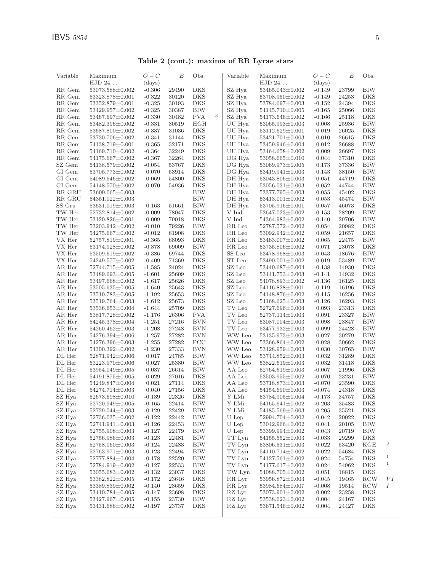| Variable                       | Maximum<br>HJD 24     | $O-C$<br>(days) | E                    | Obs.         |   | Variable | Maximum<br>HJD 24     | $O-C$<br>(days) | E     | Obs.       |              |
|--------------------------------|-----------------------|-----------------|----------------------|--------------|---|----------|-----------------------|-----------------|-------|------------|--------------|
| RR Gem                         | 53073.588±0.002       | $-0.306$        | 29490                | <b>DKS</b>   |   | SZ Hya   | 53465.043±0.002       | $-0.149$        | 23799 | <b>BIW</b> |              |
| RR Gem                         | 53323.878±0.001       | $-0.322$        | 30120                | <b>DKS</b>   |   | SZ Hya   | 53708.950±0.002       | $-0.149$        | 24253 | <b>DKS</b> |              |
| RR Gem                         | 53352.879±0.001       | $-0.325$        | 30193                | <b>DKS</b>   |   | SZ Hya   | 53784.697±0.003       | $-0.152$        | 24394 | DKS        |              |
| RR Gem                         | 53429.957±0.002       | $-0.325$        | 30387                | <b>BIW</b>   |   | SZ Hya   | 54145.710±0.005       | $-0.165$        | 25066 | DKS        |              |
| RR Gem                         | 53467.697±0.002       | $-0.330$        | 30482                | <b>PVA</b>   | 3 | SZ Hya   |                       | $-0.166$        | 25118 | DKS        |              |
|                                |                       |                 |                      |              |   |          | $54173.646 \pm 0.002$ |                 |       |            |              |
| RR Gem                         | 53482.396±0.002       | $-0.331$        | 30519                | HGH          |   | UU Hya   | 53065.993±0.003       | 0.008           | 25936 | BIW        |              |
| RR Gem                         | 53687.800±0.002       | $-0.337$        | 31036                | <b>DKS</b>   |   | UU Hya   | $53112.629 \pm 0.001$ | 0.019           | 26025 | DKS        |              |
| RR Gem                         | 53730.706±0.002       | $-0.341$        | 31144                | <b>DKS</b>   |   | UU Hya   | $53421.701 \pm 0.003$ | 0.010           | 26615 | DKS        |              |
| RR Gem                         | 54138.719±0.001       | $-0.365$        | 32171                | DKS          |   | UU Hya   | $53459.946 \pm 0.004$ | 0.012           | 26688 | <b>BIW</b> |              |
| RR Gem                         | 54169.710±0.002       | $-0.364$        | 32249                | DKS          |   | UU Hya   | 53464.658±0.002       | 0.009           | 26697 | DKS        |              |
| RR Gem                         | 54175.667±0.002       | $-0.367$        | 32264                | DKS          |   | DG Hya   | 53058.665±0.010       | 0.044           | 37310 | DKS        |              |
| SZ Gem                         | 54138.579±0.002       | $-0.054$        | 53767                | $_{\rm DKS}$ |   | DG Hya   | $53069.973 \pm 0.005$ | 0.173           | 37336 | BIW        |              |
| GI Gem                         | 53705.773±0.002       | 0.070           | 53914                | DKS          |   | DG Hya   | 53419.941±0.003       | 0.143           | 38150 | <b>BIW</b> |              |
| GI Gem                         | 54089.646±0.002       | 0.069           | 54800                | DKS          |   | DH Hya   | 53043.806±0.003       | 0.051           | 44719 | <b>DKS</b> |              |
| GI Gem                         | 54148.570±0.002       | 0.070           | 54936                | <b>DKS</b>   |   | DH Hya   | $53056.031 \pm 0.003$ | 0.052           | 44744 | <b>BIW</b> |              |
| RR GRU                         | 53609.065±0.003       |                 |                      | <b>BIW</b>   |   | DH Hya   | $53377.795 \pm 0.003$ | 0.055           | 45402 | DKS        |              |
| $\ensuremath{\mathsf{RR}}$ GRU | 54351.022±0.003       |                 |                      | <b>BIW</b>   |   | DH Hya   | $53413.001{\pm}0.002$ | 0.053           | 45474 | BIW        |              |
| ${\rm SS}$ ${\rm Gru}$         | 53631.019±0.003       | 0.163           | 51661                | <b>BIW</b>   |   | DH Hya   | 53705.916±0.001       | 0.057           | 46073 | DKS        |              |
| TW Her                         | 52732.814±0.002       | $-0.009$        | 78047                | DKS          |   | V Ind    | 53647.023±0.002       | $-0.153$        | 28209 | BIW        |              |
| TW Her                         | 53120.826±0.001       | $-0.009$        | 79018                | DKS          |   | V Ind    | 54364.983±0.002       | $-0.140$        | 29706 | BIW        |              |
| TW Her                         | 53203.942±0.002       | $-0.010$        | 79226                | <b>BIW</b>   |   | RR Leo   | 52787.572±0.002       | 0.054           | 20982 | DKS        |              |
| TW Her                         | 54275.667±0.002       | $-0.012$        | 81908                | <b>DKS</b>   |   | RR Leo   | 53092.942±0.002       | 0.059           | 21657 | <b>DKS</b> |              |
| VX Her                         | 52757.819±0.001       | $-0.365$        | 68093                | DKS          |   | RR Leo   | 53463.007±0.002       | 0.065           | 22475 | <b>BIW</b> |              |
| VX Her                         | 53174.928±0.002       | $-0.378$        | 69009                | <b>BIW</b>   |   | RR Leo   | 53735.806±0.002       | 0.071           | 23078 | DKS        |              |
| VX Her                         | $53509.619 \pm 0.002$ | $-0.386$        | 69744                | DKS          |   | SS Leo   | $53478.968 \pm 0.003$ | $-0.043$        | 18676 | <b>BIW</b> |              |
| ${\rm VX}$ Her                 | 54249.577±0.002       | $-0.409$        | 71369                | <b>DKS</b>   |   | ST Leo   | 53490.001±0.002       | $-0.019$        | 53489 | BIW        |              |
| AR Her                         | 52744.715±0.005       | $-1.585$        | 24024                | DKS          |   | SZ Leo   | 53440.687±0.004       | $-0.138$        | 14930 | DKS        |              |
| AR Her                         | 53489.693±0.005       | $-1.601$        | 25609                | DKS          |   | SZ Leo   | 53441.753±0.003       | $-0.141$        | 14932 | <b>DKS</b> |              |
| AR Her                         | 53497.668±0.002       | $-1.617$        | 25626                | <b>DKS</b>   |   | SZ Leo   | 54078.893±0.002       | $-0.136$        | 16125 | DKS        |              |
| AR Her                         | $53505.635 \pm 0.005$ | $-1.640$        | 25643                | DKS          |   | SZ Leo   | 54116.828±0.001       | $-0.119$        | 16196 | DKS        |              |
| AR Her                         | 53510.783±0.005       | $-1.192$        | 25653                | <b>DKS</b>   |   | SZ Leo   | 54148.876±0.002       | $-0.115$        | 16256 | DKS        |              |
| AR Her                         | 53519.764±0.003       | $-1.612$        | 25673                | DKS          |   | SZ Leo   | 54168.625±0.003       | $-0.126$        | 16293 | DKS        |              |
| AR Her                         | 53536.653±0.004       | $-1.644$        | 25709                | <b>DKS</b>   |   | TV Leo   | 52727.696±0.004       | 0.093           | 23313 | DKS        |              |
| AR Her                         | 53817.728±0.002       | $-1.176$        | 26306                | <b>PVA</b>   |   | TV Leo   | 52737.114±0.003       | 0.091           | 23327 | BIW        |              |
| AR Her                         | 54245.378±0.004       | $-1.251$        | 27216                | <b>BVN</b>   |   | TV Leo   | 53087.004±0.003       | 0.098           | 23847 | <b>BIW</b> |              |
| AR Her                         | 54260.462±0.003       | $-1.208$        | 27248                | <b>BVN</b>   |   | TV Leo   | 53477.932±0.003       | 0.099           | 24428 | <b>BIW</b> |              |
| AR Her                         | 54276.394±0.006       | $-1.257$        | 27282                | <b>BVN</b>   |   | WW Leo   | $53135.973\pm0.003$   | 0.027           | 30279 | <b>BIW</b> |              |
| AR Her                         | $54276.396 \pm 0.003$ | $-1.255$        | 27282                | PCC          |   | WW Leo   | $53366.864 \pm 0.002$ | 0.028           | 30662 | DKS        |              |
| AR Her                         | 54300.392±0.002       | $-1.230$        | 27333                | <b>BVN</b>   |   | WW Leo   | 53428.959±0.003       | 0.030           | 30765 | BIW        |              |
| DL Her                         | 52871.942±0.006       | 0.017           | $\boldsymbol{24785}$ | <b>BIW</b>   |   | WW Leo   | 53744.852±0.003       | 0.032           | 31289 | DKS        |              |
| DL Her                         | 53223.970±0.006       | 0.027           | 25380                | <b>BIW</b>   |   | WW Leo   | 53822.619±0.003       | 0.032           | 31418 | DKS        |              |
| DL Her                         | 53954.049±0.005       | 0.037           | 26614                | <b>BIW</b>   |   | AA Leo   | 52764.619±0.003       | $-0.067$        | 21996 | DKS        |              |
| DL Her                         | 54191.875±0.005       | 0.029           | 27016                | <b>DKS</b>   |   | AA Leo   | 53503.955±0.002       | $-0.070$        | 23231 | <b>BIW</b> |              |
| DL Her                         | 54249.847±0.004       | 0.021           | 27114                | DKS          |   | AA Leo   | 53718.873±0.003       | $-0.070$        | 23590 | DKS        |              |
| DL Her                         | 54274.714±0.003       | 0.040           | 27156                | DKS          |   | AA Leo   | 54154.690±0.003       | $-0.074$        | 24318 | DKS        |              |
| SZ Hya                         | 52673.698±0.010       | $-0.139$        | 22326                | <b>DKS</b>   |   | Y LMi    | 53784.905±0.004       | $-0.173$        | 34757 | DKS        |              |
| SZ Hya                         | $52720.949\pm0.005$   | $-0.165$        | 22414                | <b>BIW</b>   |   | Y LMi    | $54165.641 \pm 0.002$ | $-0.203$        | 35483 | DKS        |              |
| SZ Hya                         | 52729.044±0.003       | $-0.129$        | 22429                | $\rm BIW$    |   | Y LMi    | 54185.569±0.003       | $-0.205$        | 35521 | DKS        |              |
| SZ Hya                         | 52736.035±0.002       | $-0.122$        | 22442                | $\rm BIW$    |   | U Lep    | 52994.704±0.002       | 0.042           | 20022 | DKS        |              |
| SZ Hya                         | $52741.941 \pm 0.003$ | $-0.126$        | 22453                | <b>BIW</b>   |   | U Lep    | 53042.966±0.002       | 0.041           | 20105 | BIW        |              |
| SZ Hya                         | 52755.908±0.003       | $-0.127$        | 22479                | <b>BIW</b>   |   | U Lep    | 53399.994±0.002       | 0.043           | 20719 | BIW        |              |
| SZ Hya                         | 52756.986±0.003       | $-0.123$        | 22481                | BIW          |   | TT Lyn   | 54155.552±0.003       | $-0.033$        | 29299 | DKS        |              |
| SZ Hya                         | $52758.060 \pm 0.003$ | $-0.124$        | 22483                | <b>BIW</b>   |   | TV Lyn   | 53806.531±0.003       | 0.022           | 53420 | KGE        | 3            |
| SZ Hya                         | 52763.971±0.003       | $-0.123$        | 22494                | <b>BIW</b>   |   | TV Lyn   | $54110.714\pm0.002$   | 0.022           | 54684 | DKS        |              |
| SZ Hya                         | 52777.884±0.004       | $-0.178$        | 22520                | BIW          |   | TV Lyn   | 54127.561±0.002       | 0.024           | 54754 | DKS        | $\mathbf{1}$ |
| SZ Hya                         | 52784.919±0.002       | $-0.127$        | 22533                | BIW          |   | TV Lyn   | 54177.617±0.002       | 0.024           | 54962 | DKS        | $1\,$        |
| SZ Hya                         | $53055.683 \pm 0.002$ | $-0.132$        | 23037                | DKS          |   | TW Lyn   | $54088.705 \pm 0.002$ | 0.051           | 18815 | DKS        |              |
| SZ Hya                         | 53382.822±0.005       | $-0.172$        | 23646                | DKS          |   | RR Lyr   | 53956.872±0.003       | $-0.045$        | 19465 | RCW        | VI           |
| SZ Hya                         | 53389.839±0.002       | $-0.140$        | 23659                | DKS          |   | RR Lyr   | 53984.684±0.007       | $-0.008$        | 19514 | RCW        | Ι            |
| SZ Hya                         | $53410.784 \pm 0.005$ | $-0.147$        | 23698                | <b>DKS</b>   |   | RZ Lyr   | 53073.901±0.002       | 0.002           | 23258 | DKS        |              |
| SZ Hya                         | 53427.967±0.005       | $-0.155$        | 23730                | BIW          |   | RZ Lyr   | 53538.623±0.002       | 0.004           | 24167 | DKS        |              |
| SZ Hya                         | 53431.686±0.002       | $-0.197$        | 23737                | DKS          |   | RZ Lyr   | 53671.546±0.002       | 0.004           | 24427 | DKS        |              |
|                                |                       |                 |                      |              |   |          |                       |                 |       |            |              |